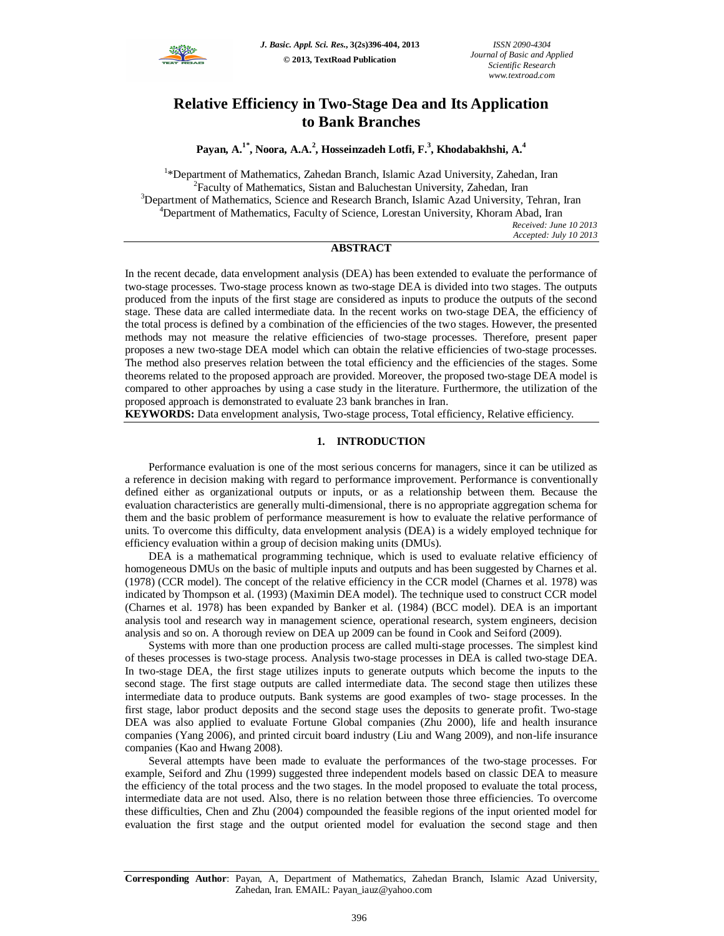

# **Relative Efficiency in Two-Stage Dea and Its Application to Bank Branches**

**Payan, A.1\*, Noora, A.A.<sup>2</sup> , Hosseinzadeh Lotfi, F.<sup>3</sup> , Khodabakhshi, A.<sup>4</sup>**

<sup>1</sup>\*Department of Mathematics, Zahedan Branch, Islamic Azad University, Zahedan, Iran <sup>2</sup>Faculty of Mathematics, Sistan and Baluchestan University, Zahedan, Iran <sup>3</sup>Department of Mathematics, Science and Research Branch, Islamic Azad University, Tehran, Iran <sup>4</sup>Department of Mathematics, Faculty of Science, Lorestan University, Khoram Abad, Iran *Received: June 10 2013 Accepted: July 10 2013*

# **ABSTRACT**

In the recent decade, data envelopment analysis (DEA) has been extended to evaluate the performance of two-stage processes. Two-stage process known as two-stage DEA is divided into two stages. The outputs produced from the inputs of the first stage are considered as inputs to produce the outputs of the second stage. These data are called intermediate data. In the recent works on two-stage DEA, the efficiency of the total process is defined by a combination of the efficiencies of the two stages. However, the presented methods may not measure the relative efficiencies of two-stage processes. Therefore, present paper proposes a new two-stage DEA model which can obtain the relative efficiencies of two-stage processes. The method also preserves relation between the total efficiency and the efficiencies of the stages. Some theorems related to the proposed approach are provided. Moreover, the proposed two-stage DEA model is compared to other approaches by using a case study in the literature. Furthermore, the utilization of the proposed approach is demonstrated to evaluate 23 bank branches in Iran.

**KEYWORDS:** Data envelopment analysis, Two-stage process, Total efficiency, Relative efficiency.

# **1. INTRODUCTION**

Performance evaluation is one of the most serious concerns for managers, since it can be utilized as a reference in decision making with regard to performance improvement. Performance is conventionally defined either as organizational outputs or inputs, or as a relationship between them. Because the evaluation characteristics are generally multi-dimensional, there is no appropriate aggregation schema for them and the basic problem of performance measurement is how to evaluate the relative performance of units. To overcome this difficulty, data envelopment analysis (DEA) is a widely employed technique for efficiency evaluation within a group of decision making units (DMUs).

DEA is a mathematical programming technique, which is used to evaluate relative efficiency of homogeneous DMUs on the basic of multiple inputs and outputs and has been suggested by Charnes et al. (1978) (CCR model). The concept of the relative efficiency in the CCR model (Charnes et al. 1978) was indicated by Thompson et al. (1993) (Maximin DEA model). The technique used to construct CCR model (Charnes et al. 1978) has been expanded by Banker et al. (1984) (BCC model). DEA is an important analysis tool and research way in management science, operational research, system engineers, decision analysis and so on. A thorough review on DEA up 2009 can be found in Cook and Seiford (2009).

Systems with more than one production process are called multi-stage processes. The simplest kind of theses processes is two-stage process. Analysis two-stage processes in DEA is called two-stage DEA. In two-stage DEA, the first stage utilizes inputs to generate outputs which become the inputs to the second stage. The first stage outputs are called intermediate data. The second stage then utilizes these intermediate data to produce outputs. Bank systems are good examples of two- stage processes. In the first stage, labor product deposits and the second stage uses the deposits to generate profit. Two-stage DEA was also applied to evaluate Fortune Global companies (Zhu 2000), life and health insurance companies (Yang 2006), and printed circuit board industry (Liu and Wang 2009), and non-life insurance companies (Kao and Hwang 2008).

Several attempts have been made to evaluate the performances of the two-stage processes. For example, Seiford and Zhu (1999) suggested three independent models based on classic DEA to measure the efficiency of the total process and the two stages. In the model proposed to evaluate the total process, intermediate data are not used. Also, there is no relation between those three efficiencies. To overcome these difficulties, Chen and Zhu (2004) compounded the feasible regions of the input oriented model for evaluation the first stage and the output oriented model for evaluation the second stage and then

**Corresponding Author**: Payan, A, Department of Mathematics, Zahedan Branch, Islamic Azad University, Zahedan, Iran. EMAIL: Payan\_iauz@yahoo.com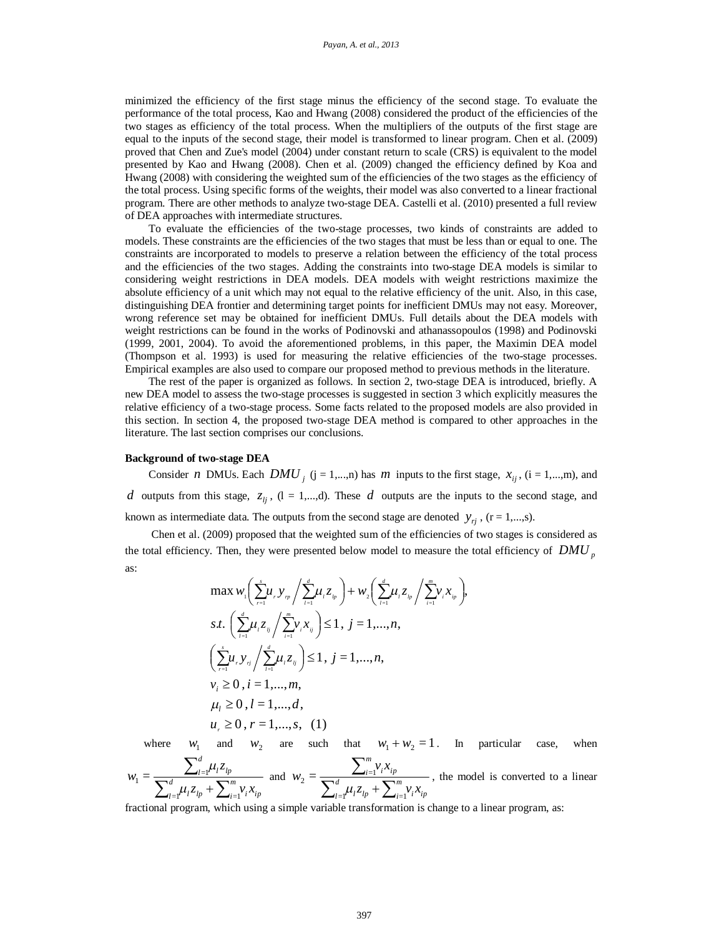minimized the efficiency of the first stage minus the efficiency of the second stage. To evaluate the performance of the total process, Kao and Hwang (2008) considered the product of the efficiencies of the two stages as efficiency of the total process. When the multipliers of the outputs of the first stage are equal to the inputs of the second stage, their model is transformed to linear program. Chen et al. (2009) proved that Chen and Zue's model (2004) under constant return to scale (CRS) is equivalent to the model presented by Kao and Hwang (2008). Chen et al. (2009) changed the efficiency defined by Koa and Hwang (2008) with considering the weighted sum of the efficiencies of the two stages as the efficiency of the total process. Using specific forms of the weights, their model was also converted to a linear fractional program. There are other methods to analyze two-stage DEA. Castelli et al. (2010) presented a full review of DEA approaches with intermediate structures.

To evaluate the efficiencies of the two-stage processes, two kinds of constraints are added to models. These constraints are the efficiencies of the two stages that must be less than or equal to one. The constraints are incorporated to models to preserve a relation between the efficiency of the total process and the efficiencies of the two stages. Adding the constraints into two-stage DEA models is similar to considering weight restrictions in DEA models. DEA models with weight restrictions maximize the absolute efficiency of a unit which may not equal to the relative efficiency of the unit. Also, in this case, distinguishing DEA frontier and determining target points for inefficient DMUs may not easy. Moreover, wrong reference set may be obtained for inefficient DMUs. Full details about the DEA models with weight restrictions can be found in the works of Podinovski and athanassopoulos (1998) and Podinovski (1999, 2001, 2004). To avoid the aforementioned problems, in this paper, the Maximin DEA model (Thompson et al. 1993) is used for measuring the relative efficiencies of the two-stage processes. Empirical examples are also used to compare our proposed method to previous methods in the literature.

The rest of the paper is organized as follows. In section 2, two-stage DEA is introduced, briefly. A new DEA model to assess the two-stage processes is suggested in section 3 which explicitly measures the relative efficiency of a two-stage process. Some facts related to the proposed models are also provided in this section. In section 4, the proposed two-stage DEA method is compared to other approaches in the literature. The last section comprises our conclusions.

#### **Background of two-stage DEA**

Consider *n* DMUs. Each  $DMU_j$  (j = 1,...,n) has *m* inputs to the first stage,  $x_{ij}$ , (i = 1,...,m), and *d* outputs from this stage,  $z_{ij}$ ,  $(l = 1,...,d)$ . These *d* outputs are the inputs to the second stage, and known as intermediate data. The outputs from the second stage are denoted  $y_{ri}$ , (r = 1,...,s).

Chen et al. (2009) proposed that the weighted sum of the efficiencies of two stages is considered as the total efficiency. Then, they were presented below model to measure the total efficiency of *DMU <sup>p</sup>* as:

$$
\max_{\nu_{i}} \left( \sum_{r=1}^{s} \mu_{r} y_{r_{p}} / \sum_{i=1}^{d} \mu_{i} z_{t_{p}} \right) + w_{2} \left( \sum_{l=1}^{d} \mu_{i} z_{t_{p}} / \sum_{i=1}^{m} v_{i} x_{t_{p}} \right),
$$
\n
$$
s.t. \left( \sum_{l=1}^{d} \mu_{i} z_{t_{j}} / \sum_{i=1}^{m} v_{i} x_{t_{j}} \right) \leq 1, j = 1,...,n,
$$
\n
$$
\left( \sum_{r=1}^{s} \mu_{r} y_{r_{j}} / \sum_{l=1}^{d} \mu_{i} z_{t_{j}} \right) \leq 1, j = 1,...,n,
$$
\n
$$
v_{i} \geq 0, i = 1,...,m,
$$
\n
$$
\mu_{i} \geq 0, l = 1,...,d,
$$
\n
$$
u_{r} \geq 0, r = 1,...,s, (1)
$$

where  $W_1$ and  $w_2$ are such that  $w_1 + w_2 = 1$ . In particular case, when

$$
w_1 = \frac{\sum_{i=1}^d \mu_i z_{ip}}{\sum_{l=1}^d \mu_l z_{ip} + \sum_{i=1}^m \nu_i x_{ip}} \text{ and } w_2 = \frac{\sum_{i=1}^m \nu_i x_{ip}}{\sum_{l=1}^d \mu_l z_{ip} + \sum_{i=1}^m \nu_i x_{ip}} \text{, the model is converted to a linear}
$$

fractional program, which using a simple variable transformation is change to a linear program, as: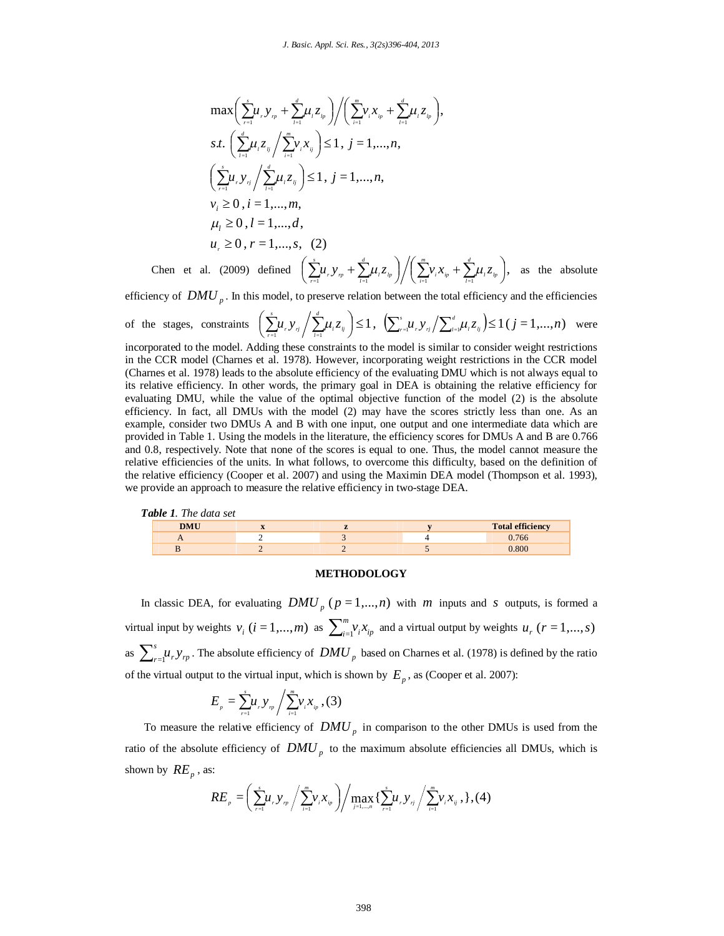$$
\max \bigg( \sum_{r=1}^{s} \mu_{r} y_{r_{p}} + \sum_{l=1}^{d} \mu_{l} z_{l_{p}} \bigg) / \bigg( \sum_{i=1}^{m} \nu_{i} x_{i_{p}} + \sum_{l=1}^{d} \mu_{l} z_{l_{p}} \bigg),
$$
\n
$$
s.t. \bigg( \sum_{i=1}^{d} \mu_{i} z_{i_{j}} / \sum_{i=1}^{m} \nu_{i} x_{i_{j}} \bigg) \leq 1, j = 1, ..., n,
$$
\n
$$
\bigg( \sum_{r=1}^{s} \mu_{r} y_{r_{j}} / \sum_{l=1}^{d} \mu_{l} z_{i_{j}} \bigg) \leq 1, j = 1, ..., n,
$$
\n
$$
\nu_{i} \geq 0, i = 1, ..., m,
$$
\n
$$
\mu_{l} \geq 0, l = 1, ..., d,
$$
\n
$$
u_{r} \geq 0, r = 1, ..., s, (2)
$$

Chen et al. (2009) defined  $\left( \sum_{r=1}^{\infty} u_r y_{r_p} + \sum_{l=1}^{\infty} u_l z_{l_p} \right) / \left( \sum_{i=1}^{\infty} v_i x_{l_p} + \sum_{l=1}^{\infty} u_l z_{l_p} \right)$  $\bigg(\sum_{i=1}^m \mathcal{V}_i \mathcal{X}_{ip} + \sum_{l=1}^d \mu_l Z_{lp}\bigg)$  $\bigg) \bigg/ \bigg( \sum_{i=1}^m \nu_i x_{i p} +$  $\bigg(\sum_{r=1}^s\!\boldsymbol{\mu}_{_r}\mathcal{Y}_{_{rp}}+\sum_{l=1}^d\!\boldsymbol{\mu}_{_l}\mathcal{Z}_{_{lp}}\bigg)\!\bigg/\! \bigg(\sum_{i=1}^m\!\mathcal{V}_{_i}\mathcal{X}_{_{ip}}+\sum_{l=1}^d\!\boldsymbol{\mu}_{_l}\mathcal{Z}_{_{lp}}$  $\frac{1}{i}$   $\frac{1}{i}$ *l*  $\binom{1}{i}$   $\binom{2}{i}$ *l r rp*  $\sum_{r=1}^{\infty} u_r y_{r} + \sum_{l=1}^{\infty} \mu_l z_{t} \cdot \left/ \left( \sum_{i=1}^{\infty} v_i x_{i} + \sum_{l=1}^{\infty} \mu_l z_{t} \right) \right],$  as the absolute

efficiency of *DMU* <sub>*p*</sub>. In this model, to preserve relation between the total efficiency and the efficiencies

of the stages, constraints  $\left(\sum_{r=1}^L \mu_r y_{rj} / \sum_{l=1}^L \mu_l z_{tj}\right) \leq 1$ ,  $\left( \sum_{r=1}^s \mu_r \, \mathcal{Y}_{rj} \middle/ \sum_{l=1}^d \mu_l \, \mathcal{Z}_{lj} \right)$ *l r rj s*  $\sum_{x=1}^d \mu_{_{\mathit{r}}} y_{_{\mathit{rj}}} \Big/ \sum_{l=1}^d \mu_{_{l}} z_{_{lj}} \Big) \!\leq\! 1 \,, \ \ \big( \!\sum_{x=1}^s \!\mu_{_{\mathit{r}}} y_{_{\mathit{rj}}} \! \big/ \! \sum_{l=1}^d \!\mu_{_{l}} z_{_{lj}} \big) \!\!\leq\! 1 \, (j=1,...,n)$ *r rj l*  $\sum_{i=1}^{s} u_i y_{ij} / \sum_{i=1}^{d} u_i z_{ij}$   $\leq 1$  (*j* = 1,...,*n*) were incorporated to the model. Adding these constraints to the model is similar to consider weight restrictions in the CCR model (Charnes et al. 1978). However, incorporating weight restrictions in the CCR model (Charnes et al. 1978) leads to the absolute efficiency of the evaluating DMU which is not always equal to its relative efficiency. In other words, the primary goal in DEA is obtaining the relative efficiency for evaluating DMU, while the value of the optimal objective function of the model (2) is the absolute efficiency. In fact, all DMUs with the model (2) may have the scores strictly less than one. As an example, consider two DMUs A and B with one input, one output and one intermediate data which are provided in Table 1. Using the models in the literature, the efficiency scores for DMUs A and B are 0.766 and 0.8, respectively. Note that none of the scores is equal to one. Thus, the model cannot measure the relative efficiencies of the units. In what follows, to overcome this difficulty, based on the definition of the relative efficiency (Cooper et al. 2007) and using the Maximin DEA model (Thompson et al. 1993), we provide an approach to measure the relative efficiency in two-stage DEA.

| <b>Table 1</b> . The data set |  |  |  |                         |  |  |
|-------------------------------|--|--|--|-------------------------|--|--|
| <b>DMU</b>                    |  |  |  | <b>Total efficiency</b> |  |  |
|                               |  |  |  | 0.766                   |  |  |
|                               |  |  |  | 800                     |  |  |

## **METHODOLOGY**

In classic DEA, for evaluating  $DMU_p$  ( $p = 1,...,n$ ) with *m* inputs and *s* outputs, is formed a virtual input by weights  $v_i$  ( $i = 1,...,m$ ) as  $\sum_{i=1}^{m} v_i x_{ip}$  and a virtual output by weights  $u_r$  ( $r = 1,...,s$ ) as  $\sum_{r=1}^{s} u_r y_{rp}$ . The absolute efficiency of *DMU p* based on Charnes et al. (1978) is defined by the ratio of the virtual output to the virtual input, which is shown by  $E_p$ , as (Cooper et al. 2007):

$$
E_{_{p}}=\sum_{_{r=1}}^{^{s}}\!\mu_{_{r}}y_{_{rp}}\bigg/\sum_{_{i=1}}^{^{m}}\!\nu_{_{i}}x_{_{ip}}\,,(3)
$$

To measure the relative efficiency of  $DMU_p$  in comparison to the other DMUs is used from the ratio of the absolute efficiency of  $DMU_p$  to the maximum absolute efficiencies all DMUs, which is shown by  $RE_p$ , as:

$$
RE_{p} = \left(\sum_{r=1}^{s} u_{r} y_{r p} / \sum_{i=1}^{m} v_{i} x_{i p} \right) / \max_{j=1,...,n} \left\{ \sum_{r=1}^{s} u_{r} y_{r j} / \sum_{i=1}^{m} v_{i} x_{i j} , \right\}, (4)
$$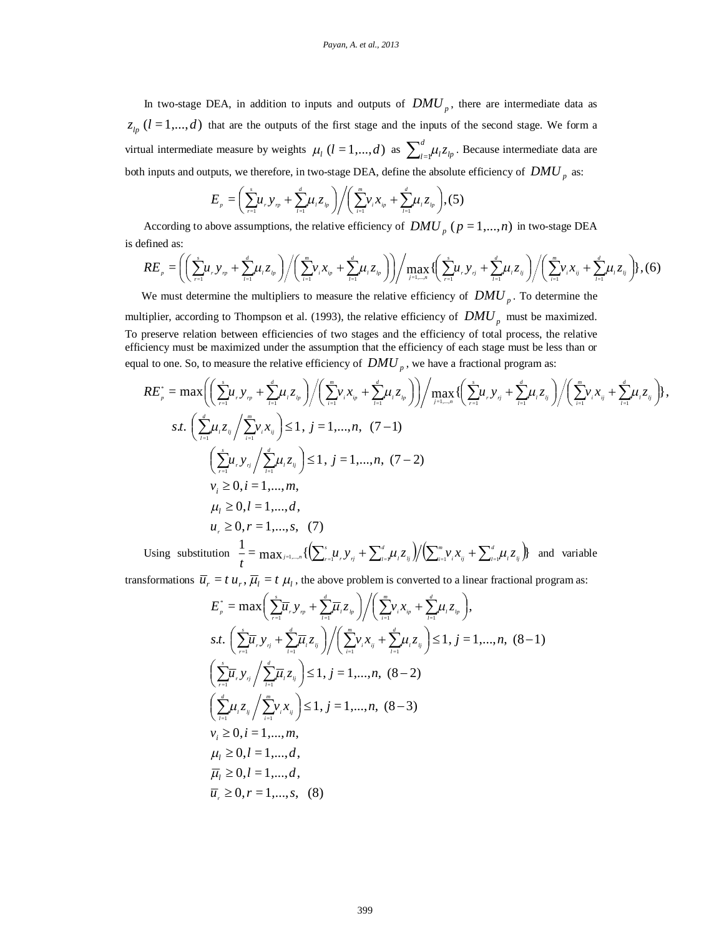In two-stage DEA, in addition to inputs and outputs of  $DMU_p$ , there are intermediate data as  $z_{lp}$  ( $l = 1,...,d$ ) that are the outputs of the first stage and the inputs of the second stage. We form a virtual intermediate measure by weights  $\mu_l$  (*l* = 1,...,*d*) as  $\sum_{l=1}^{d} \mu_l z_{lp}$ . Because intermediate data are both inputs and outputs, we therefore, in two-stage DEA, define the absolute efficiency of  $DMU_p$  as:

$$
E_{p} = \left(\sum_{r=1}^{s} \mu_{r} y_{r p} + \sum_{l=1}^{d} \mu_{l} z_{l p}\right) / \left(\sum_{i=1}^{m} \nu_{i} x_{i p} + \sum_{l=1}^{d} \mu_{l} z_{l p}\right), (5)
$$

According to above assumptions, the relative efficiency of  $DMU_p$  ( $p = 1,...,n$ ) in two-stage DEA is defined as:

$$
RE_{p} = \left( \left( \sum_{r=1}^{s} u_{r} y_{r} + \sum_{l=1}^{d} u_{l} z_{l} \right) / \left( \sum_{i=1}^{m} v_{i} x_{i} + \sum_{l=1}^{d} u_{l} z_{l} \right) \right) / \max_{j=1,...,n} \left( \left( \sum_{r=1}^{s} u_{r} y_{rj} + \sum_{l=1}^{d} u_{l} z_{l} \right) / \left( \sum_{i=1}^{m} v_{i} x_{i} + \sum_{l=1}^{d} u_{l} z_{l} \right) \right),
$$
(6)

We must determine the multipliers to measure the relative efficiency of  $DMU_p$ . To determine the multiplier, according to Thompson et al. (1993), the relative efficiency of  $DMU<sub>p</sub>$  must be maximized.

To preserve relation between efficiencies of two stages and the efficiency of total process, the relative efficiency must be maximized under the assumption that the efficiency of each stage must be less than or equal to one. So, to measure the relative efficiency of  $DMU_p$ , we have a fractional program as:

$$
RE_{p}^{*} = \max \left( \left( \sum_{r=1}^{s} \mu_{r} y_{r} + \sum_{l=1}^{d} \mu_{l} z_{l} \right) / \left( \sum_{i=1}^{m} \nu_{i} x_{i} + \sum_{l=1}^{d} \mu_{l} z_{l} \right) \right) / \max \left( \left( \sum_{r=1}^{s} \mu_{r} y_{r} + \sum_{l=1}^{d} \mu_{l} z_{l} \right) / \left( \sum_{i=1}^{m} \nu_{i} x_{i} + \sum_{l=1}^{d} \mu_{l} z_{l} \right) \right),
$$
  

$$
s.t. \left( \sum_{i=1}^{d} \mu_{i} z_{ij} / \sum_{i=1}^{m} \nu_{i} x_{ij} \right) \le 1, j = 1,...,n, (7-1)
$$

$$
\left( \sum_{r=1}^{s} \mu_{r} y_{r} / \sum_{l=1}^{d} \mu_{l} z_{l} \right) \le 1, j = 1,...,n, (7-2)
$$

$$
\nu_{i} \ge 0, i = 1,...,m,
$$

$$
\mu_{i} \ge 0, l = 1,...,d,
$$

$$
\mu_{i} \ge 0, r = 1,...,s, (7)
$$

Using substitution  $\frac{1}{\tau} = \max_{j=1,...,n} \{ \left( \sum_{i=1}^{s} u_{i} y_{i j} + \sum_{i=1}^{d} u_{i} z_{i j} \right) / \left( \sum_{i=1}^{m} v_{i} x_{i j} + \sum_{i=1}^{d} u_{i} z_{i j} \right) \}$  $=$ 1,..., $n \downarrow \downarrow \searrow$ <sub>r $=$  1</sub> $\mu$ <sub>r</sub>, $y$ <sub> $\parallel$ </sub>  $\parallel$   $\perp$ <sub>/ $=$ 1</sub> $\mu$ <sub>*l*</sub> $\sim$ <sub>*lj*</sub> $\parallel$   $\parallel$   $\parallel$ <sub>/ $\parallel$ </sub> $\parallel$ <sub>/ $\parallel$ </sub> $\parallel$ <sub>/ $\parallel$ </sub> $\parallel$  $\parallel$  $\parallel$  $\parallel$  $\parallel$  $\parallel$  $\parallel$ *d l i ij m i l lj d r rj l s*  $\sum_{j=1,...,n}^x \{ \bigl( \sum_{r=1}^s \! \! \mu_r^{} \, \mathrm{y}_{rj}^{} + \sum_{l=1}^a \! \! \mu_l^{} \! \! \mathcal{Z}_{lj}^{} \bigl/ \! \! \bigr/ \! \! \bigr/ \! \! \sum_{i=1}^m \! \! \! \mathcal{V}_{i}^{} \, \mathrm{x}_{ij}^{} + \sum_{l=1}^a \! \! \mu_l^{} \! \! \mathcal{Z}_{l}^{} \! \! \bigr/ \bigl/ \! \! \! \mathcal{Z}_{l}^{} \! \! \bigl/ \bigl/ \! \! \!$  $\frac{1}{t} = \max_{j=1,...,t} \{ \left( \sum_{r=1}^{s} u_r y_{rj} + \sum_{l=1}^{d} u_l z_{lj} \right) / \left( \sum_{i=1}^{m} v_i x_{ij} + \sum_{l=1}^{d} u_l z_{lj} \right) \}$  and variable

transformations  $\overline{u}_r = t u_r$ ,  $\overline{\mu}_l = t \mu_l$ , the above problem is converted to a linear fractional program as:

$$
E_{p}^{*} = \max \bigg( \sum_{r=1}^{s} \overline{\mu}_{r} y_{r} + \sum_{l=1}^{d} \overline{\mu}_{l} z_{l} \bigg) / \bigg( \sum_{i=1}^{m} \nu_{i} x_{i} + \sum_{l=1}^{d} \mu_{l} z_{l} \bigg),
$$
  
s.t.  $\bigg( \sum_{r=1}^{s} \overline{\mu}_{r} y_{r} + \sum_{l=1}^{d} \overline{\mu}_{l} z_{l} \bigg) / \bigg( \sum_{i=1}^{m} \nu_{i} x_{i} + \sum_{l=1}^{d} \mu_{l} z_{l} \bigg) \le 1, j = 1, ..., n, (8-1)$   
 $\bigg( \sum_{r=1}^{s} \overline{\mu}_{r} y_{r} / \sum_{l=1}^{d} \overline{\mu}_{l} z_{l} \bigg) \le 1, j = 1, ..., n, (8-2)$   
 $\bigg( \sum_{l=1}^{d} \mu_{l} z_{l} / \sum_{i=1}^{m} \nu_{i} x_{i} \bigg) \le 1, j = 1, ..., n, (8-3)$   
 $\nu_{i} \ge 0, i = 1, ..., m,$   
 $\mu_{l} \ge 0, l = 1, ..., d,$   
 $\overline{\mu}_{l} \ge 0, l = 1, ..., d,$   
 $\overline{\mu}_{r} \ge 0, r = 1, ..., s, (8)$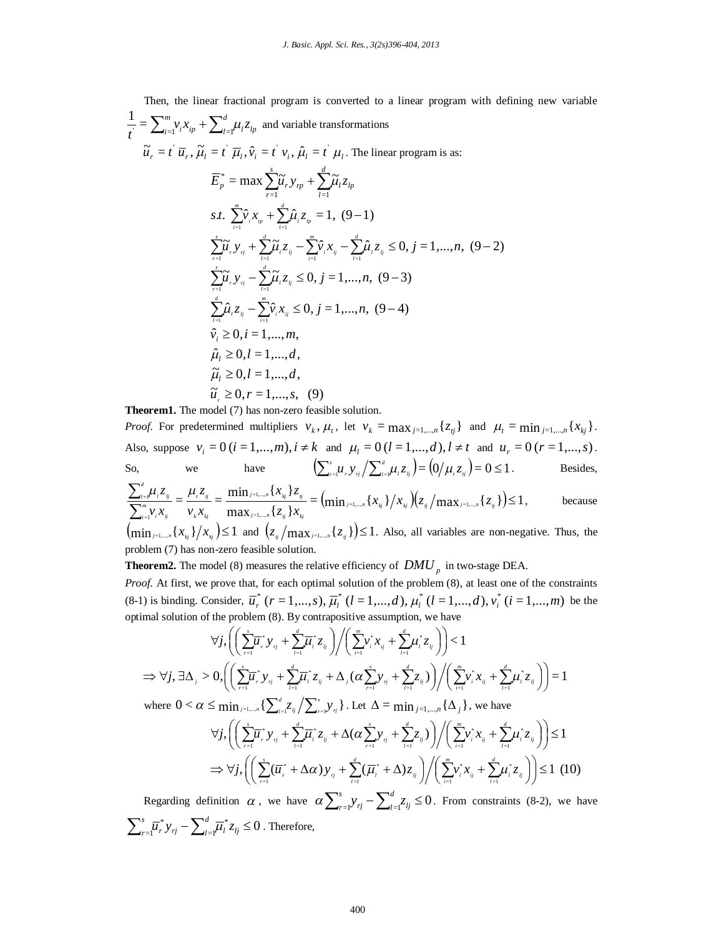Then, the linear fractional program is converted to a linear program with defining new variable *l lp d*  $i^{\lambda}$ *ip*  $\sum_{l}$ *m*  $\sum_{i=1}^{m} V_i X_{ip} + \sum_{l=1}^{u} \mu_l z_l$  $\frac{1}{t} = \sum_{i=1}^{m} v_i x_{ip} + \sum_{l=1}^{d} \mu_l z_{lp}$  and variable transformations  $\widetilde{u}_r = t \overline{u}_r$ ,  $\widetilde{\mu}_l = t \overline{u}_l$ ,  $\hat{v}_i = t \overline{v}_i$ ,  $\hat{\mu}_l = t \overline{u}_l$ . The linear program is as: *l lp d*  $\int_l^r$ *s*  $\overline{E}_p^* = \max \sum_{r=1}^n \widetilde{\mu}_r y_{rp} + \sum_{l=1}^n \widetilde{\mu}_l z_l$  $\int_{\mathcal{L}} \sum_{i=1}^{m} \hat{v}_{i} x_{i p} + \sum_{i=1}^{d} \hat{\mu}_{i} z_{i p} = 1, (9-1)$  $l = 1$   $l = 1$ *l i ip*  $s.t. \ \sum_{i=1}^{m} \hat{v}_{i} x_{i} + \sum_{i=1}^{d} \hat{\mu}_{i} z_{i}$ *i*  $\sum_{i=1}^{s} \widetilde{\mu}_{i} y_{ij} + \sum_{l=1}^{d} \widetilde{\mu}_{i} z_{ij} - \sum_{i=1}^{m} \widehat{\nu}_{i} x_{ij} - \sum_{l=1}^{d} \widehat{\mu}_{i} z_{ij} \le 0, j = 1,...,n, (9-2)$  $\frac{i}{i}$   $\frac{i}{j}$   $\frac{2}{i}$ *m*  $\frac{i}{i}$ *d l r rj s*  $\sum_{i=1}^{\infty}$  $\mu_{i}$ ,  $y_{ij}$  +  $\sum_{l=1}^{\infty}$  $\mu_{l}$ ,  $z_{ij}$  -  $\sum_{i=1}^{\infty}$  $\mu_{i}$ ,  $x_{ij}$  -  $\sum_{l=1}^{\infty}$  $\mu_{i}$  $\sum_{i=1}^{s} \tilde{\mu}_{i} y_{i} - \sum_{i=1}^{d} \tilde{\mu}_{i} z_{i} \leq 0, j = 1,...,n, (9-3)$  $l = 1$   $l = 1$ *l r rj s r*  $\mu$  $\sum_{i=1}^{d} \hat{\mu}_{i} z_{ij} - \sum_{i=1}^{m} \hat{\nu}_{i} x_{ij} \le 0, j = 1,...,n, (9-4)$  $\frac{i}{i}$ *d*  $\sum_{l=1}$  $\mu$  $\hat{v}_i \ge 0, i = 1, \dots, m$ ,  $\hat{\mu}_i \geq 0, l = 1, \dots, d$  $\tilde{\mu}_l \geq 0, l = 1, ..., d,$  $\tilde{u} \geq 0, r = 1,..., s, (9)$ 

**Theorem1.** The model (7) has non-zero feasible solution.

*Proof.* For predetermined multipliers  $v_k$ ,  $\mu_t$ , let  $v_k = \max_{j=1,\dots,n} \{z_{tj}\}\$  and  $\mu_t = \min_{j=1,\dots,n} \{x_{kj}\}\$ . Also, suppose  $v_i = 0$  ( $i = 1,...,m$ ),  $i \neq k$  and  $\mu_i = 0$  ( $i = 1,...,d$ ),  $i \neq t$  and  $u_r = 0$  ( $r = 1,...,s$ ). So, we have  $\left(\sum_{i=1}^{s} u_i y_{ij} / \sum_{i=1}^{d} u_i z_{ij}\right) = \left(0 / \mu_i z_{ij}\right) = 0 \le 1$ *r rj l s*  $\sum_{r=1}^{s} u_r y_{rj} / \sum_{i=1}^{a} \mu_i z_{ij} = (0/\mu_i z_{ij}) = 0 \le 1.$  Besides,

$$
\frac{\sum_{i=1}^{d} \mu_{i} z_{ij}}{\sum_{i=1}^{m} \nu_{i} x_{ij}} = \frac{\mu_{i} z_{ij}}{\nu_{k} x_{kj}} = \frac{\min_{j=1,\dots,n} \{x_{ij}\} z_{ij}}{\max_{j=1,\dots,n} \{z_{ij}\} x_{ij}} = (\min_{j=1,\dots,n} \{x_{ij}\} / x_{ij})(z_{ij}/\max_{j=1,\dots,n} \{z_{ij}\}) \le 1, \quad \text{because}
$$

 $\left(\min_{j=1,\dots,n} \{x_{k_j}\}/x_{k_j}\right) \leq 1$  and  $\left(z_{j}/\max_{j=1,\dots,n} \{z_{j}\}\right) \leq 1$ . Also, all variables are non-negative. Thus, the problem (7) has non-zero feasible solution.

**Theorem2.** The model (8) measures the relative efficiency of  $DMU_p$  in two-stage DEA.

*Proof.* At first, we prove that, for each optimal solution of the problem (8), at least one of the constraints  $(8-1)$  is binding. Consider,  $\overline{u}_r^*$   $(r = 1, ..., s)$ ,  $\overline{\mu}_l^*$   $(l = 1, ..., d)$ ,  $\mu_l^*$   $(l = 1, ..., d)$ ,  $\nu_i^*$   $(i = 1, ..., m)$  be the optimal solution of the problem (8). By contrapositive assumption, we have

$$
\forall j, \left( \left( \sum_{r=1}^{s} \overline{\mu}_{r}^{*} y_{rj} + \sum_{l=1}^{d} \overline{\mu}_{l}^{*} z_{lj} \right) / \left( \sum_{i=1}^{m} v_{i}^{*} x_{ij} + \sum_{l=1}^{d} \mu_{l}^{*} z_{lj} \right) \right) < 1
$$
  
\n
$$
\Rightarrow \forall j, \exists \Delta_{j} > 0, \left( \left( \sum_{r=1}^{s} \overline{\mu}_{r}^{*} y_{rj} + \sum_{l=1}^{d} \overline{\mu}_{l}^{*} z_{lj} + \Delta_{j} (\alpha \sum_{r=1}^{s} y_{rj} + \sum_{l=1}^{d} z_{lj}) \right) / \left( \sum_{i=1}^{m} v_{i}^{*} x_{ij} + \sum_{l=1}^{d} \mu_{l}^{*} z_{lj} \right) \right) = 1
$$
  
\nwhere  $0 < \alpha \le \min_{j=1,\dots,n} \left\{ \sum_{l=1}^{d} z_{lj} / \sum_{r=1}^{s} y_{rj} \right\}$ . Let  $\Delta = \min_{j=1,\dots,n} \left\{ \Delta_{j} \right\}$ , we have

$$
\forall j, \left( \left( \sum_{r=1}^{s} \overline{\mu}_{r}^{*} y_{rj} + \sum_{l=1}^{d} \overline{\mu}_{l}^{*} z_{lj} + \Delta(\alpha \sum_{r=1}^{s} y_{rj} + \sum_{l=1}^{d} z_{lj}) \right) / \left( \sum_{i=1}^{m} v_{i}^{*} x_{ij} + \sum_{l=1}^{d} \mu_{l}^{*} z_{lj} \right) \right) \leq 1
$$
  
\n
$$
\Rightarrow \forall j, \left( \left( \sum_{r=1}^{s} (\overline{\mu}_{r}^{*} + \Delta \alpha) y_{rj} + \sum_{l=1}^{d} (\overline{\mu}_{l}^{*} + \Delta) z_{lj} \right) / \left( \sum_{i=1}^{m} v_{i}^{*} x_{ij} + \sum_{l=1}^{d} \mu_{l}^{*} z_{lj} \right) \right) \leq 1 \quad (10)
$$

Regarding definition  $\alpha$ , we have  $\alpha \sum_{r=1}^{s} y_{rj} - \sum_{l=1}^{d} z_{lj} \leq 0$ *rj*  $\angle$ *s*  $\alpha \sum_{i=1}^{3} y_{ij} - \sum_{l=1}^{3} z_{lj} \le 0$ . From constraints (8-2), we have  $z_{li}^* z_{li} \leq 0$ =1  $\sum_{r=1}^{s} \overline{\mu}_{r}^{*} y_{rj} - \sum_{l=1}^{d} \overline{\mu}_{l}^{*} z_{lj} \leq$  $\frac{r}{r}$  *r j*  $\frac{r}{r}$ *s*  $\sum_{i=1}^{3} \overline{\mu}_i^* y_{ij} - \sum_{l=1}^{3} \overline{\mu}_l^* z_{lj} \leq 0$ . Therefore,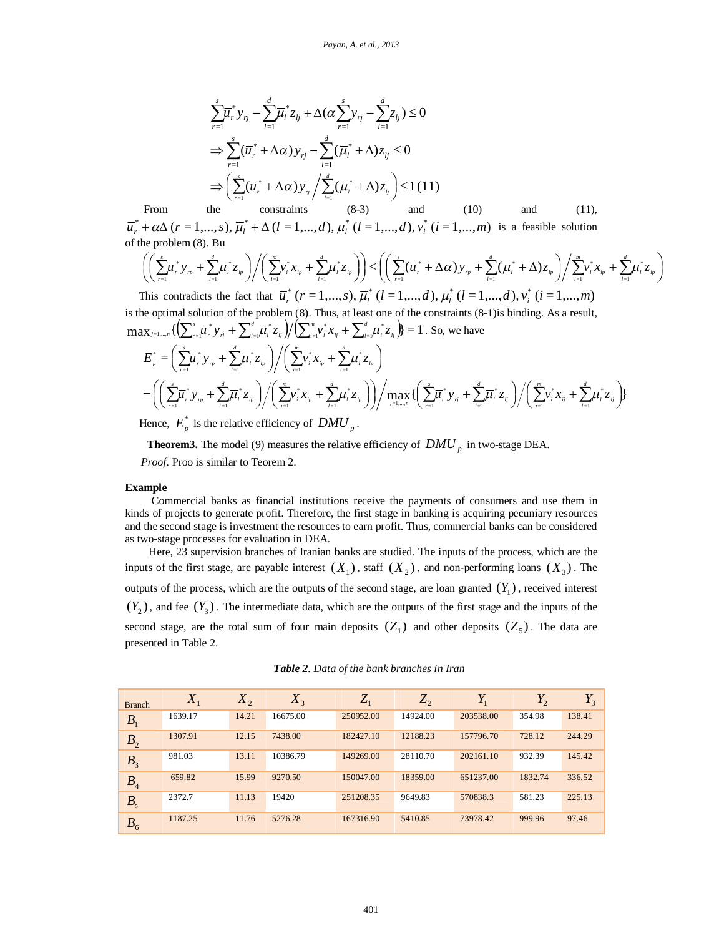$$
\sum_{r=1}^{s} \overline{\mu}_{r}^{*} y_{rj} - \sum_{l=1}^{d} \overline{\mu}_{l}^{*} z_{lj} + \Delta(\alpha \sum_{r=1}^{s} y_{rj} - \sum_{l=1}^{d} z_{lj}) \le 0
$$
  
\n
$$
\Rightarrow \sum_{r=1}^{s} (\overline{\mu}_{r}^{*} + \Delta \alpha) y_{rj} - \sum_{l=1}^{d} (\overline{\mu}_{l}^{*} + \Delta) z_{lj} \le 0
$$
  
\n
$$
\Rightarrow \left( \sum_{r=1}^{s} (\overline{\mu}_{r}^{*} + \Delta \alpha) y_{rj} / \sum_{l=1}^{d} (\overline{\mu}_{l}^{*} + \Delta) z_{lj} \right) \le 1 (11)
$$

From the constraints  $(8-3)$  and  $(10)$  and  $(11)$ ,  $\overline{u}_r^* + \alpha \Delta (r = 1,..., s), \overline{\mu}_l^* + \Delta (l = 1,..., d), \mu_l^* (l = 1,..., d), v_i^* (i = 1,..., m)$  is a feasible solution of the problem (8). Bu

$$
\left( \left( \sum_{r=1}^s \overline{\mu}_r^* y_{\tau_p} + \sum_{l=1}^d \overline{\mu}_l^* z_{l_p} \right) \middle/ \left( \sum_{i=1}^m v_i^* x_{i_p} + \sum_{l=1}^d \mu_l^* z_{l_p} \right) \right) < \left( \left( \sum_{r=1}^s (\overline{\mu}_r^* + \Delta \alpha) y_{\tau_p} + \sum_{l=1}^d (\overline{\mu}_l^* + \Delta) z_{l_p} \right) \middle/ \sum_{i=1}^m v_i^* x_{i_p} + \sum_{l=1}^d \mu_l^* z_{l_p} \right)
$$

This contradicts the fact that  $\overline{u}_r^*$   $(r = 1,..., s)$ ,  $\overline{\mu}_l^*$   $(l = 1,..., d)$ ,  $\mu_l^*$   $(l = 1,..., d)$ ,  $v_i^*$   $(i = 1,..., m)$ is the optimal solution of the problem (8). Thus, at least one of the constraints (8-1)is binding. As a result,  $\overline{\phantom{a}}$ *d s*

$$
\max_{j=1,\ldots,n} \{ \left( \sum_{r=1}^{s} \overline{\mu}_{r}^{*} y_{rj} + \sum_{l=1}^{d} \overline{\mu}_{l}^{*} z_{lj} \right) / \left( \sum_{i=1}^{m} \nu_{i}^{*} x_{ij} + \sum_{l=1}^{d} \mu_{l}^{*} z_{lj} \right) \} = 1. \text{ So, we have}
$$
\n
$$
E_{p}^{*} = \left( \sum_{r=1}^{s} \overline{\mu}_{r}^{*} y_{rp} + \sum_{l=1}^{d} \overline{\mu}_{l}^{*} z_{lp} \right) / \left( \sum_{i=1}^{m} \nu_{i}^{*} x_{ip} + \sum_{l=1}^{d} \mu_{l}^{*} z_{lp} \right)
$$
\n
$$
= \left( \left( \sum_{r=1}^{s} \overline{\mu}_{r}^{*} y_{rp} + \sum_{l=1}^{d} \overline{\mu}_{l}^{*} z_{lp} \right) / \left( \sum_{i=1}^{m} \nu_{i}^{*} x_{ip} + \sum_{l=1}^{d} \mu_{l}^{*} z_{lp} \right) \right) / \max_{j=1,\ldots,n} \{ \left( \sum_{r=1}^{s} \overline{\mu}_{r}^{*} y_{rj} + \sum_{l=1}^{d} \overline{\mu}_{l}^{*} z_{lj} \right) / \left( \sum_{i=1}^{m} \nu_{i}^{*} x_{ij} + \sum_{l=1}^{d} \mu_{l}^{*} z_{lj} \right) \}
$$
\nHence,  $E_{p}^{*}$  is the relative efficiency of  $DMU$ 

Hence,  $E_p^*$  is the relative efficiency of  $DMU_p$ .

**Theorem3.** The model (9) measures the relative efficiency of  $DMU_p$  in two-stage DEA. *Proof.* Proo is similar to Teorem 2.

#### **Example**

Commercial banks as financial institutions receive the payments of consumers and use them in kinds of projects to generate profit. Therefore, the first stage in banking is acquiring pecuniary resources and the second stage is investment the resources to earn profit. Thus, commercial banks can be considered as two-stage processes for evaluation in DEA.

Here, 23 supervision branches of Iranian banks are studied. The inputs of the process, which are the inputs of the first stage, are payable interest  $(X_1)$ , staff  $(X_2)$ , and non-performing loans  $(X_3)$ . The outputs of the process, which are the outputs of the second stage, are loan granted  $(Y_1)$ , received interest  $(Y_2)$ , and fee  $(Y_3)$ . The intermediate data, which are the outputs of the first stage and the inputs of the second stage, are the total sum of four main deposits  $(Z_1)$  and other deposits  $(Z_5)$ . The data are presented in Table 2.

| <b>Branch</b>  | $X_1$   | $X_2$ | $X_3$    | $Z_1$     | $Z_{2}$  | $Y_1$     | $Y_2$   | Y<br>$1_3$ |
|----------------|---------|-------|----------|-----------|----------|-----------|---------|------------|
| B <sub>1</sub> | 1639.17 | 14.21 | 16675.00 | 250952.00 | 14924.00 | 203538.00 | 354.98  | 138.41     |
| B <sub>2</sub> | 1307.91 | 12.15 | 7438.00  | 182427.10 | 12188.23 | 157796.70 | 728.12  | 244.29     |
| B <sub>3</sub> | 981.03  | 13.11 | 10386.79 | 149269.00 | 28110.70 | 202161.10 | 932.39  | 145.42     |
| B <sub>4</sub> | 659.82  | 15.99 | 9270.50  | 150047.00 | 18359.00 | 651237.00 | 1832.74 | 336.52     |
| $B_{\rm s}$    | 2372.7  | 11.13 | 19420    | 251208.35 | 9649.83  | 570838.3  | 581.23  | 225.13     |
| $B_6$          | 1187.25 | 11.76 | 5276.28  | 167316.90 | 5410.85  | 73978.42  | 999.96  | 97.46      |

*Table 2. Data of the bank branches in Iran*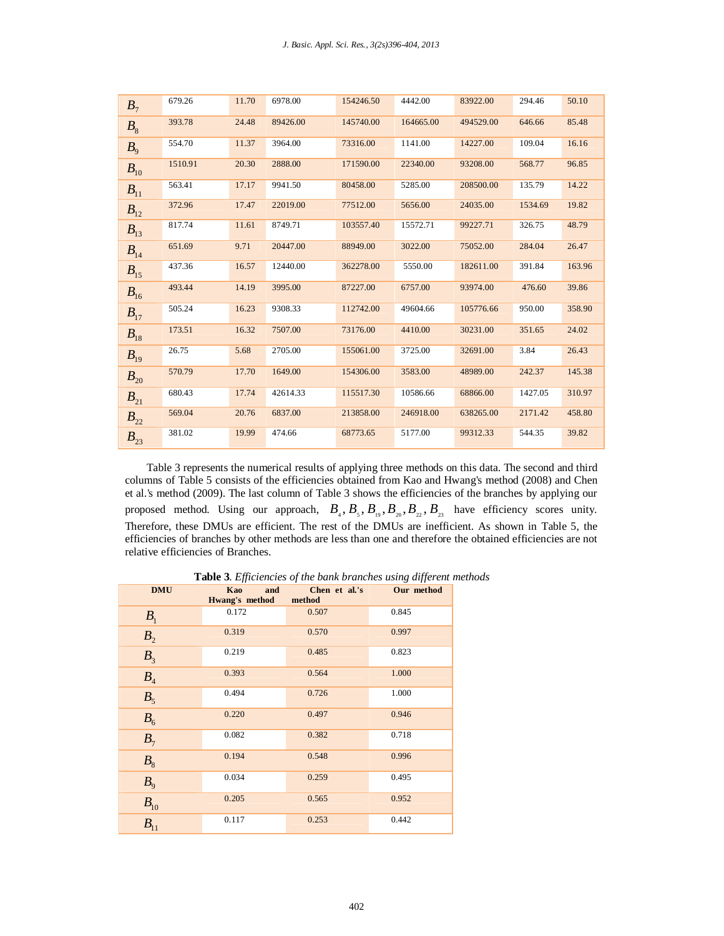| B <sub>7</sub> | 679.26  | 11.70 | 6978.00  | 154246.50 | 4442.00   | 83922.00  | 294.46  | 50.10  |
|----------------|---------|-------|----------|-----------|-----------|-----------|---------|--------|
| $B_{8}$        | 393.78  | 24.48 | 89426.00 | 145740.00 | 164665.00 | 494529.00 | 646.66  | 85.48  |
| $B_{\rm o}$    | 554.70  | 11.37 | 3964.00  | 73316.00  | 1141.00   | 14227.00  | 109.04  | 16.16  |
| $B_{10}$       | 1510.91 | 20.30 | 2888.00  | 171590.00 | 22340.00  | 93208.00  | 568.77  | 96.85  |
| $B_{11}$       | 563.41  | 17.17 | 9941.50  | 80458.00  | 5285.00   | 208500.00 | 135.79  | 14.22  |
| $B_{12}$       | 372.96  | 17.47 | 22019.00 | 77512.00  | 5656.00   | 24035.00  | 1534.69 | 19.82  |
| $B_{13}$       | 817.74  | 11.61 | 8749.71  | 103557.40 | 15572.71  | 99227.71  | 326.75  | 48.79  |
| $B_{14}$       | 651.69  | 9.71  | 20447.00 | 88949.00  | 3022.00   | 75052.00  | 284.04  | 26.47  |
| $B_{15}$       | 437.36  | 16.57 | 12440.00 | 362278.00 | 5550.00   | 182611.00 | 391.84  | 163.96 |
| $B_{16}$       | 493.44  | 14.19 | 3995.00  | 87227.00  | 6757.00   | 93974.00  | 476.60  | 39.86  |
| $B_{17}$       | 505.24  | 16.23 | 9308.33  | 112742.00 | 49604.66  | 105776.66 | 950.00  | 358.90 |
| $B_{18}$       | 173.51  | 16.32 | 7507.00  | 73176.00  | 4410.00   | 30231.00  | 351.65  | 24.02  |
| $B_{19}$       | 26.75   | 5.68  | 2705.00  | 155061.00 | 3725.00   | 32691.00  | 3.84    | 26.43  |
| $B_{20}$       | 570.79  | 17.70 | 1649.00  | 154306.00 | 3583.00   | 48989.00  | 242.37  | 145.38 |
| $B_{21}$       | 680.43  | 17.74 | 42614.33 | 115517.30 | 10586.66  | 68866.00  | 1427.05 | 310.97 |
| $B_{22}$       | 569.04  | 20.76 | 6837.00  | 213858.00 | 246918.00 | 638265.00 | 2171.42 | 458.80 |
| $B_{23}$       | 381.02  | 19.99 | 474.66   | 68773.65  | 5177.00   | 99312.33  | 544.35  | 39.82  |

Table 3 represents the numerical results of applying three methods on this data. The second and third columns of Table 5 consists of the efficiencies obtained from Kao and Hwang's method (2008) and Chen et al.'s method (2009). The last column of Table 3 shows the efficiencies of the branches by applying our proposed method. Using our approach,  $B_4$ ,  $B_5$ ,  $B_{19}$ ,  $B_{20}$ ,  $B_{22}$ ,  $B_{23}$  have efficiency scores unity. Therefore, these DMUs are efficient. The rest of the DMUs are inefficient. As shown in Table 5, the efficiencies of branches by other methods are less than one and therefore the obtained efficiencies are not relative efficiencies of Branches.

 **Table 3**. *Efficiencies of the bank branches using different methods*

| <b>DMU</b>          | Kao<br>and<br>Hwang's method | Chen et al.'s<br>method | Our method |
|---------------------|------------------------------|-------------------------|------------|
| B <sub>1</sub>      | 0.172                        | 0.507                   | 0.845      |
| B <sub>2</sub>      | 0.319                        | 0.570                   | 0.997      |
| B <sub>3</sub>      | 0.219                        | 0.485                   | 0.823      |
| $B_4$               | 0.393                        | 0.564                   | 1.000      |
| $B_5$               | 0.494                        | 0.726                   | 1.000      |
| B <sub>6</sub>      | 0.220                        | 0.497                   | 0.946      |
| $B_7$               | 0.082                        | 0.382                   | 0.718      |
| $B_8$               | 0.194                        | 0.548                   | 0.996      |
| $B_{9}$             | 0.034                        | 0.259                   | 0.495      |
| $B_{10}$            | 0.205                        | 0.565                   | 0.952      |
| $\overline{B_{11}}$ | 0.117                        | 0.253                   | 0.442      |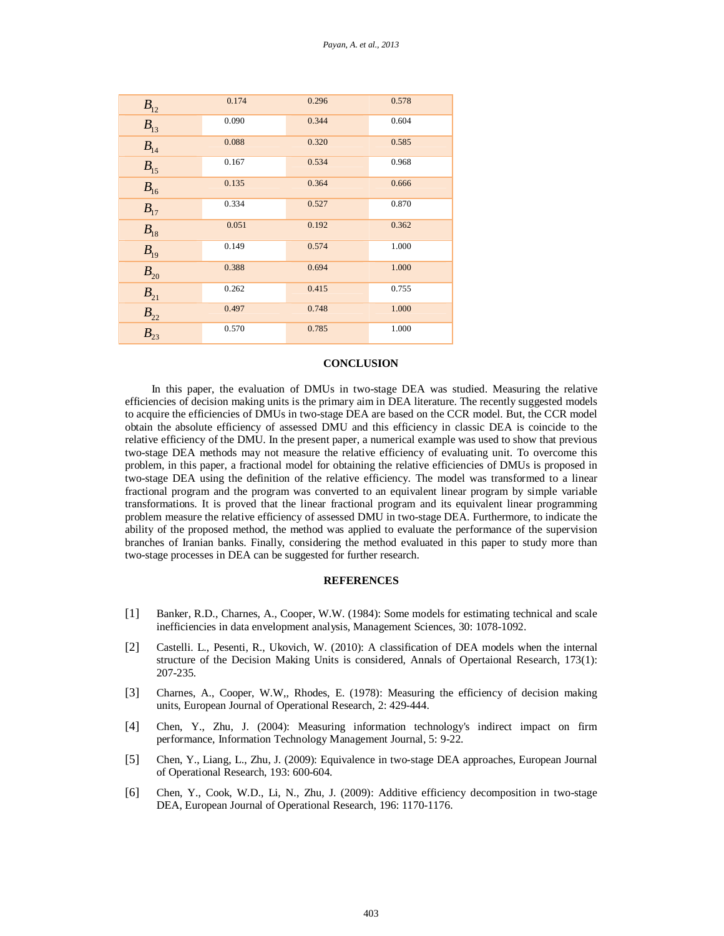| $B_{12}$            | 0.174 | 0.296 | 0.578 |
|---------------------|-------|-------|-------|
| $B_{13}$            | 0.090 | 0.344 | 0.604 |
| $B_{14}$            | 0.088 | 0.320 | 0.585 |
| $B_{15}$            | 0.167 | 0.534 | 0.968 |
| $B_{16}$            | 0.135 | 0.364 | 0.666 |
| $B_{17}$            | 0.334 | 0.527 | 0.870 |
| $B_{18}$            | 0.051 | 0.192 | 0.362 |
| $B_{19}$            | 0.149 | 0.574 | 1.000 |
| $B_{20}$            | 0.388 | 0.694 | 1.000 |
| $B_{21}$            | 0.262 | 0.415 | 0.755 |
| $B_{\rm 22}$        | 0.497 | 0.748 | 1.000 |
| $\overline{B_{23}}$ | 0.570 | 0.785 | 1.000 |

# **CONCLUSION**

In this paper, the evaluation of DMUs in two-stage DEA was studied. Measuring the relative efficiencies of decision making units is the primary aim in DEA literature. The recently suggested models to acquire the efficiencies of DMUs in two-stage DEA are based on the CCR model. But, the CCR model obtain the absolute efficiency of assessed DMU and this efficiency in classic DEA is coincide to the relative efficiency of the DMU. In the present paper, a numerical example was used to show that previous two-stage DEA methods may not measure the relative efficiency of evaluating unit. To overcome this problem, in this paper, a fractional model for obtaining the relative efficiencies of DMUs is proposed in two-stage DEA using the definition of the relative efficiency. The model was transformed to a linear fractional program and the program was converted to an equivalent linear program by simple variable transformations. It is proved that the linear fractional program and its equivalent linear programming problem measure the relative efficiency of assessed DMU in two-stage DEA. Furthermore, to indicate the ability of the proposed method, the method was applied to evaluate the performance of the supervision branches of Iranian banks. Finally, considering the method evaluated in this paper to study more than two-stage processes in DEA can be suggested for further research.

### **REFERENCES**

- [1] Banker, R.D., Charnes, A., Cooper, W.W. (1984): Some models for estimating technical and scale inefficiencies in data envelopment analysis, Management Sciences, 30: 1078-1092.
- [2] Castelli. L., Pesenti, R., Ukovich, W. (2010): A classification of DEA models when the internal structure of the Decision Making Units is considered, Annals of Opertaional Research, 173(1): 207-235.
- [3] Charnes, A., Cooper, W.W,, Rhodes, E. (1978): Measuring the efficiency of decision making units, European Journal of Operational Research, 2: 429-444.
- [4] Chen, Y., Zhu, J. (2004): Measuring information technology's indirect impact on firm performance, Information Technology Management Journal, 5: 9-22.
- [5] Chen, Y., Liang, L., Zhu, J. (2009): Equivalence in two-stage DEA approaches, European Journal of Operational Research, 193: 600-604.
- [6] Chen, Y., Cook, W.D., Li, N., Zhu, J. (2009): Additive efficiency decomposition in two-stage DEA, European Journal of Operational Research, 196: 1170-1176.